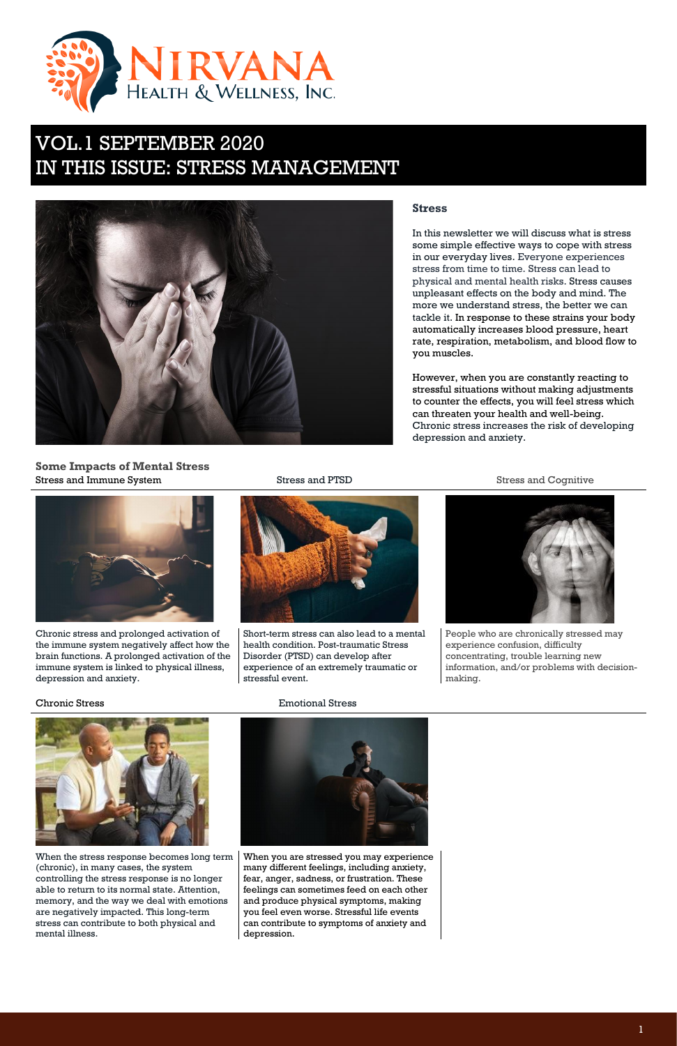1





# VOL.1 SEPTEMBER 2020 IN THIS ISSUE: STRESS MANAGEMENT



### **Stress**

In this newsletter we will discuss what is stress some simple effective ways to cope with stress in our everyday lives. Everyone experiences stress from time to time. Stress can lead to physical and mental health risks. Stress causes unpleasant effects on the body and mind. The more we understand stress, the better we can tackle it. In response to these strains your body automatically increases blood pressure, heart rate, respiration, metabolism, and blood flow to you muscles.

### **Some Impacts of Mental Stress** Stress and Immune System **Stress and PTSD** Stress and PTSD Stress and Cognitive



However, when you are constantly reacting to stressful situations without making adjustments to counter the effects, you will feel stress which can threaten your health and well-being. Chronic stress increases the risk of developing depression and anxiety.

Chronic stress and prolonged activation of the immune system negatively affect how the brain functions. A prolonged activation of the immune system is linked to physical illness, depression and anxiety.



Short-term stress can also lead to a mental health condition. Post-traumatic Stress Disorder (PTSD) can develop after experience of an extremely traumatic or stressful event.



People who are chronically stressed may experience confusion, difficulty concentrating, trouble learning new information, and/or problems with decisionmaking.

Chronic Stress Emotional Stress



When the stress response becomes long term (chronic), in many cases, the system controlling the stress response is no longer able to return to its normal state. Attention, memory, and the way we deal with emotions are negatively impacted. This long-term stress can contribute to both physical and mental illness.

When you are stressed you may experience many different feelings, including anxiety, fear, anger, sadness, or frustration. These feelings can sometimes feed on each other and produce physical symptoms, making you feel even worse. Stressful life events can contribute to symptoms of anxiety and depression.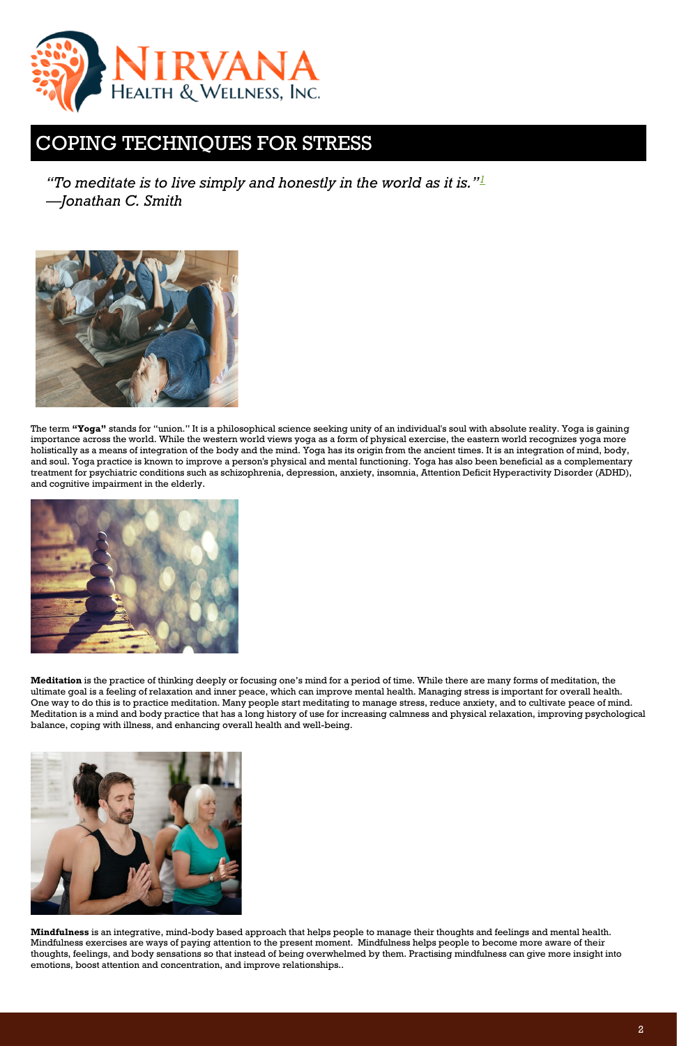*"To meditate is to live simply and honestly in the world as it is."[1](https://www.ncbi.nlm.nih.gov/pmc/articles/PMC2719544/#B1) —Jonathan C. Smith*



The term **"Yoga"** stands for "union." It is a philosophical science seeking unity of an individual's soul with absolute reality. Yoga is gaining importance across the world. While the western world views yoga as a form of physical exercise, the eastern world recognizes yoga more holistically as a means of integration of the body and the mind. Yoga has its origin from the ancient times. It is an integration of mind, body, and soul. Yoga practice is known to improve a person's physical and mental functioning. Yoga has also been beneficial as a complementary treatment for psychiatric conditions such as schizophrenia, depression, anxiety, insomnia, Attention Deficit Hyperactivity Disorder (ADHD), and cognitive impairment in the elderly.



**Meditation** is the practice of thinking deeply or focusing one's mind for a period of time. While there are many forms of meditation, the ultimate goal is a feeling of relaxation and inner peace, which can improve mental health. Managing stress is important for overall health. One way to do this is to practice meditation. Many people start meditating to manage stress, reduce anxiety, and to cultivate peace of mind. Meditation is a mind and body practice that has a long history of use for increasing calmness and physical relaxation, improving psychological balance, coping with illness, and enhancing overall health and well-being.



**Mindfulness** is an integrative, mind-body based approach that helps people to manage their thoughts and feelings and mental health. Mindfulness exercises are ways of paying attention to the present moment. Mindfulness helps people to become more aware of their thoughts, feelings, and body sensations so that instead of being overwhelmed by them. Practising mindfulness can give more insight into emotions, boost attention and concentration, and improve relationships..



## COPING TECHNIQUES FOR STRESS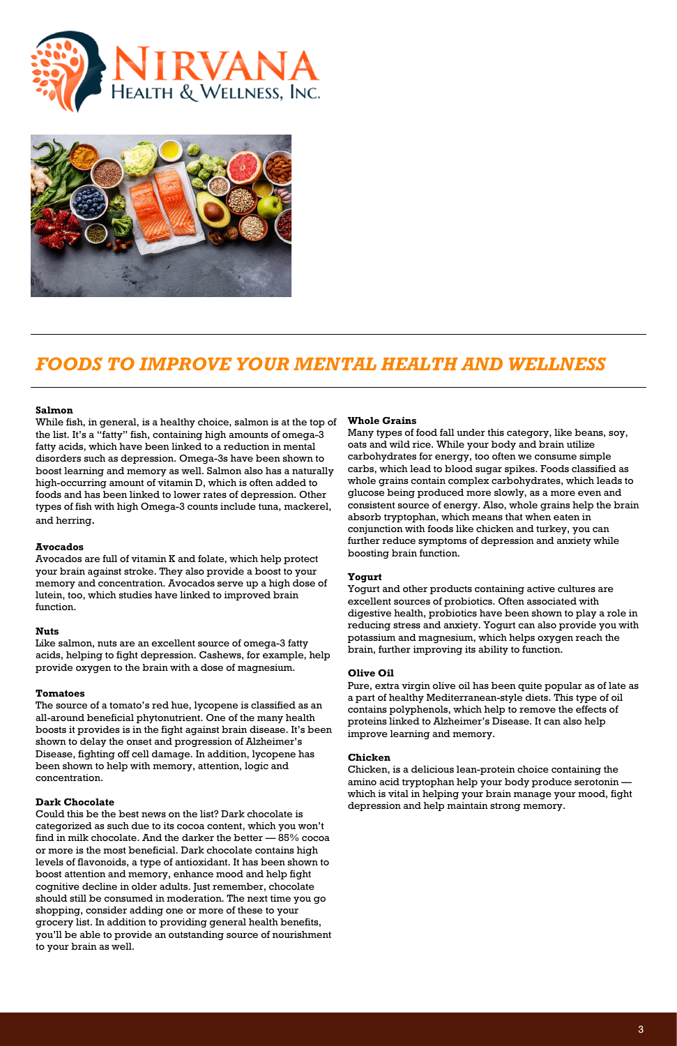



### *FOODS TO IMPROVE YOUR MENTAL HEALTH AND WELLNESS*

### **Salmon**

While fish, in general, is a healthy choice, salmon is at the top of the list. It's a "fatty" fish, containing high amounts of omega-3 fatty acids, which have been linked to a reduction in mental disorders such as depression. Omega-3s have been shown to boost learning and memory as well. Salmon also has a naturally high-occurring amount of vitamin D, which is often added to foods and has been linked to lower rates of depression. Other types of fish with high Omega-3 counts include tuna, mackerel, and herring.

#### **Avocados**

Avocados are full of vitamin K and folate, which help protect your brain against stroke. They also provide a boost to your memory and concentration. Avocados serve up a high dose of lutein, too, which studies have linked to improved brain function.

#### **Nuts**

Like salmon, nuts are an excellent source of omega-3 fatty acids, helping to fight depression. Cashews, for example, help provide oxygen to the brain with a dose of magnesium.

#### **Tomatoes**

The source of a tomato's red hue, lycopene is classified as an all-around beneficial phytonutrient. One of the many health boosts it provides is in the fight against brain disease. It's been shown to delay the onset and progression of Alzheimer's Disease, fighting off cell damage. In addition, lycopene has been shown to help with memory, attention, logic and concentration.

#### **Dark Chocolate**

Could this be the best news on the list? Dark chocolate is categorized as such due to its cocoa content, which you won't find in milk chocolate. And the darker the better — 85% cocoa or more is the most beneficial. Dark chocolate contains high levels of flavonoids, a type of antioxidant. It has been shown to boost attention and memory, enhance mood and help fight cognitive decline in older adults. Just remember, chocolate should still be consumed in moderation. The next time you go shopping, consider adding one or more of these to your grocery list. In addition to providing general health benefits, you'll be able to provide an outstanding source of nourishment to your brain as well.

#### **Whole Grains**

Many types of food fall under this category, like beans, soy, oats and wild rice. While your body and brain utilize carbohydrates for energy, too often we consume simple carbs, which lead to blood sugar spikes. Foods classified as whole grains contain complex carbohydrates, which leads to glucose being produced more slowly, as a more even and consistent source of energy. Also, whole grains help the brain absorb tryptophan, which means that when eaten in conjunction with foods like chicken and turkey, you can further reduce symptoms of depression and anxiety while boosting brain function.

#### **Yogurt**

Yogurt and other products containing active cultures are excellent sources of probiotics. Often associated with digestive health, probiotics have been shown to play a role in reducing stress and anxiety. Yogurt can also provide you with potassium and magnesium, which helps oxygen reach the brain, further improving its ability to function.

#### **Olive Oil**

Pure, extra virgin olive oil has been quite popular as of late as a part of healthy Mediterranean-style diets. This type of oil contains polyphenols, which help to remove the effects of proteins linked to Alzheimer's Disease. It can also help improve learning and memory.

#### **Chicken**

Chicken, is a delicious lean-protein choice containing the amino acid tryptophan help your body produce serotonin which is vital in helping your brain manage your mood, fight depression and help maintain strong memory.